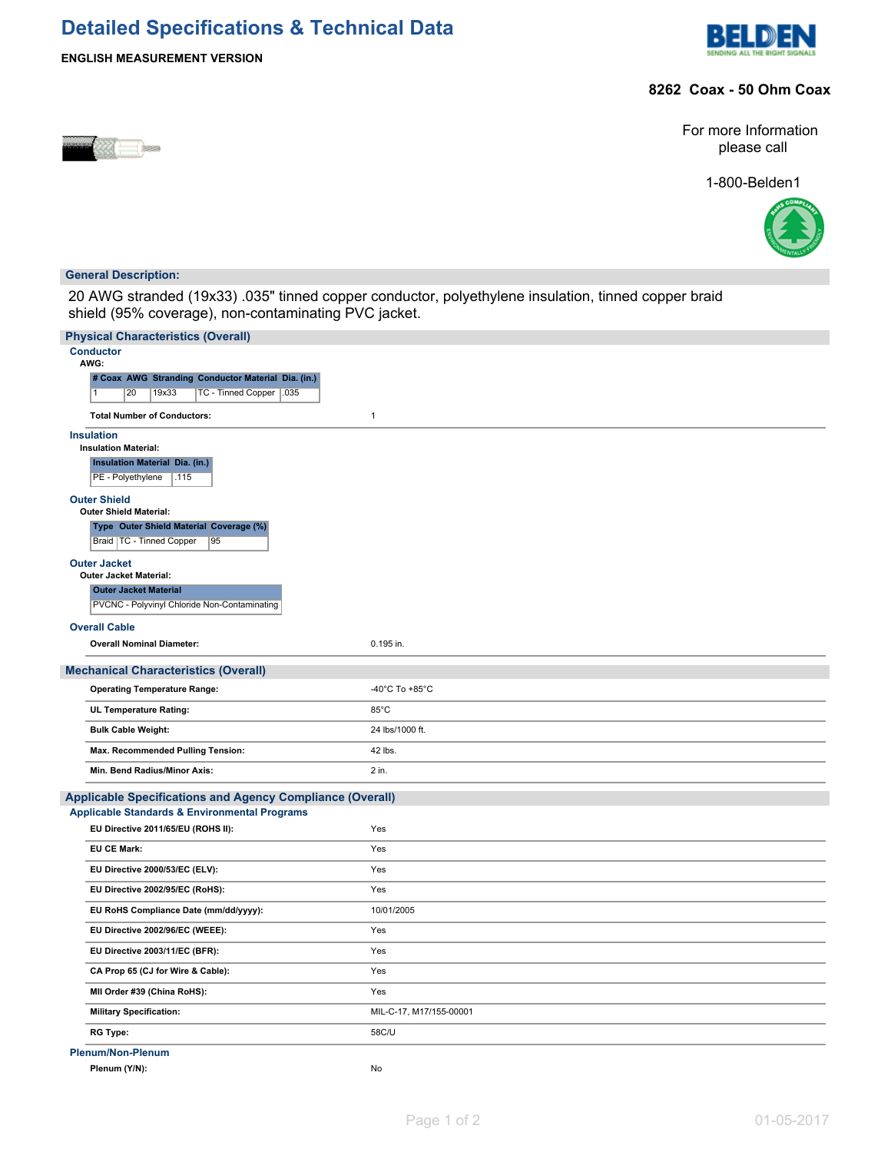# **Detailed Specifications & Technical Data**





### **8262 Coax - 50 Ohm Coax**



For more Information please call

1-800-Belden1



#### **General Description:**

20 AWG stranded (19x33) .035" tinned copper conductor, polyethylene insulation, tinned copper braid shield (95% coverage), non-contaminating PVC jacket.

| <b>Physical Characteristics (Overall)</b>                        |                         |
|------------------------------------------------------------------|-------------------------|
| <b>Conductor</b><br>AWG:                                         |                         |
| # Coax AWG Stranding Conductor Material Dia. (in.)               |                         |
| 20<br>19x33<br>TC - Tinned Copper   .035<br>$\overline{1}$       |                         |
| <b>Total Number of Conductors:</b>                               | $\mathbf{1}$            |
| <b>Insulation</b>                                                |                         |
| <b>Insulation Material:</b>                                      |                         |
| <b>Insulation Material Dia. (in.)</b>                            |                         |
| PE - Polyethylene<br>.115                                        |                         |
| <b>Outer Shield</b><br>Outer Shield Material:                    |                         |
| Type Outer Shield Material Coverage (%)                          |                         |
| Braid   TC - Tinned Copper<br>95                                 |                         |
| <b>Outer Jacket</b><br><b>Outer Jacket Material:</b>             |                         |
| <b>Outer Jacket Material</b>                                     |                         |
| PVCNC - Polyvinyl Chloride Non-Contaminating                     |                         |
| <b>Overall Cable</b>                                             |                         |
| <b>Overall Nominal Diameter:</b>                                 | 0.195 in.               |
| <b>Mechanical Characteristics (Overall)</b>                      |                         |
| <b>Operating Temperature Range:</b>                              | -40°C To +85°C          |
|                                                                  |                         |
| <b>UL Temperature Rating:</b>                                    | 85°C                    |
| <b>Bulk Cable Weight:</b>                                        | 24 lbs/1000 ft.         |
| Max. Recommended Pulling Tension:                                | 42 lbs.                 |
| Min. Bend Radius/Minor Axis:                                     | 2 in.                   |
| <b>Applicable Specifications and Agency Compliance (Overall)</b> |                         |
| <b>Applicable Standards &amp; Environmental Programs</b>         |                         |
| EU Directive 2011/65/EU (ROHS II):                               | Yes                     |
| <b>EU CE Mark:</b>                                               | Yes                     |
| EU Directive 2000/53/EC (ELV):                                   | Yes                     |
| EU Directive 2002/95/EC (RoHS):                                  | Yes                     |
| EU RoHS Compliance Date (mm/dd/yyyy):                            | 10/01/2005              |
| EU Directive 2002/96/EC (WEEE):                                  | Yes                     |
| EU Directive 2003/11/EC (BFR):                                   | Yes                     |
| CA Prop 65 (CJ for Wire & Cable):                                | Yes                     |
| MII Order #39 (China RoHS):                                      | Yes                     |
| <b>Military Specification:</b>                                   | MIL-C-17, M17/155-00001 |
| <b>RG Type:</b>                                                  | 58C/U                   |
| <b>Plenum/Non-Plenum</b>                                         |                         |
| Plenum (Y/N):                                                    | No                      |